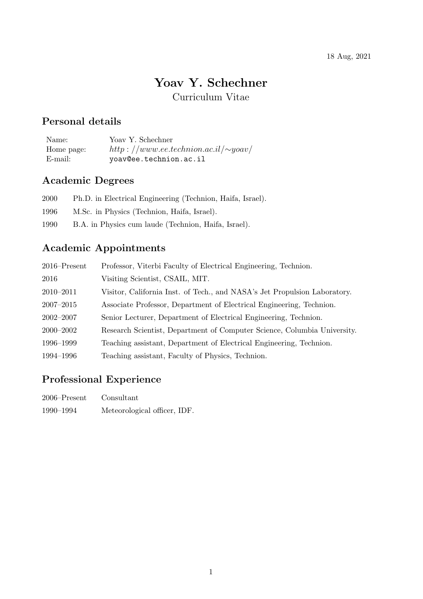#### 18 Aug, 2021

# **Yoav Y. Schechner**

Curriculum Vitae

### **Personal details**

Name: Yoav Y. Schechner Home page: *http* : *//www.ee.technion.ac.il/∼yoav/*<br>E-mail: yoav@ee.technion.ac.il yoav@ee.technion.ac.il

## **Academic Degrees**

| 2000 | Ph.D. in Electrical Engineering (Technion, Haifa, Israel). |
|------|------------------------------------------------------------|
| 1996 | M.Sc. in Physics (Technion, Haifa, Israel).                |
| 1990 | B.A. in Physics cum laude (Technion, Haifa, Israel).       |

# **Academic Appointments**

| $2016$ -Present | Professor, Viterbi Faculty of Electrical Engineering, Technion.           |
|-----------------|---------------------------------------------------------------------------|
| 2016            | Visiting Scientist, CSAIL, MIT.                                           |
| $2010 - 2011$   | Visitor, California Inst. of Tech., and NASA's Jet Propulsion Laboratory. |
| $2007 - 2015$   | Associate Professor, Department of Electrical Engineering, Technion.      |
| $2002 - 2007$   | Senior Lecturer, Department of Electrical Engineering, Technion.          |
| $2000 - 2002$   | Research Scientist, Department of Computer Science, Columbia University.  |
| 1996–1999       | Teaching assistant, Department of Electrical Engineering, Technion.       |
| 1994–1996       | Teaching assistant, Faculty of Physics, Technion.                         |

# **Professional Experience**

| $2006$ –Present | Consultant                   |
|-----------------|------------------------------|
| 1990–1994       | Meteorological officer, IDF. |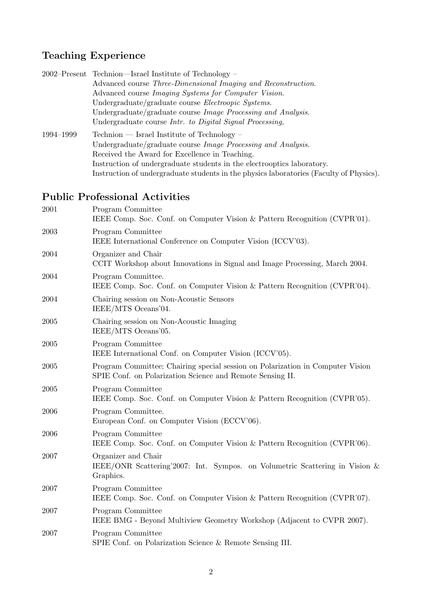# **Teaching Experience**

|           | 2002–Present Technion–Israel Institute of Technology –                                  |
|-----------|-----------------------------------------------------------------------------------------|
|           | Advanced course Three-Dimensional Imaging and Reconstruction.                           |
|           | Advanced course <i>Imaging Systems for Computer Vision</i> .                            |
|           | Undergraduate/graduate course Electroopic Systems.                                      |
|           | Undergraduate/graduate course Image Processing and Analysis.                            |
|           | Undergraduate course Intr. to Digital Signal Processing,                                |
| 1994–1999 | $Technion$ - Israel Institute of Technology -                                           |
|           | Undergraduate/graduate course Image Processing and Analysis.                            |
|           | Received the Award for Excellence in Teaching.                                          |
|           | Instruction of undergraduate students in the electrooptics laboratory.                  |
|           | Instruction of undergraduate students in the physics laboratories (Faculty of Physics). |
|           |                                                                                         |

# **Public Professional Activities**

| 2001 | Program Committee<br>IEEE Comp. Soc. Conf. on Computer Vision & Pattern Recognition (CVPR'01).                                              |
|------|---------------------------------------------------------------------------------------------------------------------------------------------|
| 2003 | Program Committee<br>IEEE International Conference on Computer Vision (ICCV'03).                                                            |
| 2004 | Organizer and Chair<br>CCIT Workshop about Innovations in Signal and Image Processing, March 2004.                                          |
| 2004 | Program Committee.<br>IEEE Comp. Soc. Conf. on Computer Vision & Pattern Recognition (CVPR'04).                                             |
| 2004 | Chairing session on Non-Acoustic Sensors<br>IEEE/MTS Oceans'04.                                                                             |
| 2005 | Chairing session on Non-Acoustic Imaging<br>IEEE/MTS Oceans'05.                                                                             |
| 2005 | Program Committee<br>IEEE International Conf. on Computer Vision (ICCV'05).                                                                 |
| 2005 | Program Committee; Chairing special session on Polarization in Computer Vision<br>SPIE Conf. on Polarization Science and Remote Sensing II. |
| 2005 | Program Committee<br>IEEE Comp. Soc. Conf. on Computer Vision & Pattern Recognition (CVPR'05).                                              |
| 2006 | Program Committee.<br>European Conf. on Computer Vision (ECCV'06).                                                                          |
| 2006 | Program Committee<br>IEEE Comp. Soc. Conf. on Computer Vision & Pattern Recognition (CVPR'06).                                              |
| 2007 | Organizer and Chair<br>IEEE/ONR Scattering 2007: Int. Sympos. on Volumetric Scattering in Vision &<br>Graphics.                             |
| 2007 | Program Committee<br>IEEE Comp. Soc. Conf. on Computer Vision & Pattern Recognition (CVPR'07).                                              |
| 2007 | Program Committee<br>IEEE BMG - Beyond Multiview Geometry Workshop (Adjacent to CVPR 2007).                                                 |
| 2007 | Program Committee<br>SPIE Conf. on Polarization Science & Remote Sensing III.                                                               |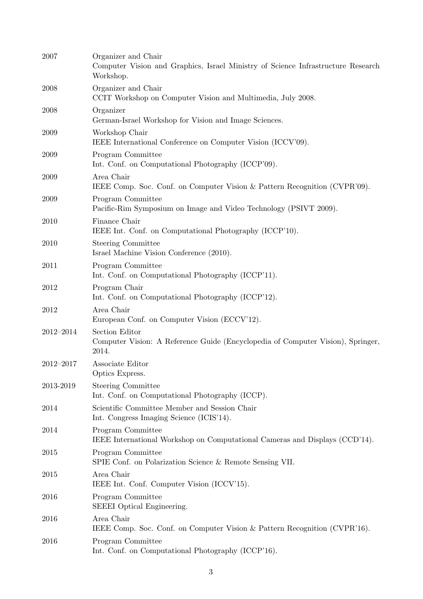| 2007      | Organizer and Chair<br>Computer Vision and Graphics, Israel Ministry of Science Infrastructure Research<br>Workshop. |
|-----------|----------------------------------------------------------------------------------------------------------------------|
| 2008      | Organizer and Chair<br>CCIT Workshop on Computer Vision and Multimedia, July 2008.                                   |
| 2008      | Organizer<br>German-Israel Workshop for Vision and Image Sciences.                                                   |
| 2009      | Workshop Chair<br>IEEE International Conference on Computer Vision (ICCV'09).                                        |
| 2009      | Program Committee<br>Int. Conf. on Computational Photography (ICCP'09).                                              |
| 2009      | Area Chair<br>IEEE Comp. Soc. Conf. on Computer Vision & Pattern Recognition (CVPR'09).                              |
| 2009      | Program Committee<br>Pacific-Rim Symposium on Image and Video Technology (PSIVT 2009).                               |
| 2010      | Finance Chair<br>IEEE Int. Conf. on Computational Photography (ICCP'10).                                             |
| 2010      | <b>Steering Committee</b><br>Israel Machine Vision Conference (2010).                                                |
| 2011      | Program Committee<br>Int. Conf. on Computational Photography (ICCP'11).                                              |
| 2012      | Program Chair<br>Int. Conf. on Computational Photography (ICCP'12).                                                  |
| 2012      | Area Chair<br>European Conf. on Computer Vision (ECCV'12).                                                           |
| 2012-2014 | Section Editor<br>Computer Vision: A Reference Guide (Encyclopedia of Computer Vision), Springer,<br>2014.           |
| 2012-2017 | Associate Editor<br>Optics Express.                                                                                  |
| 2013-2019 | <b>Steering Committee</b><br>Int. Conf. on Computational Photography (ICCP).                                         |
| 2014      | Scientific Committee Member and Session Chair<br>Int. Congress Imaging Science (ICIS'14).                            |
| 2014      | Program Committee<br>IEEE International Workshop on Computational Cameras and Displays (CCD'14).                     |
| 2015      | Program Committee<br>SPIE Conf. on Polarization Science & Remote Sensing VII.                                        |
| 2015      | Area Chair<br>IEEE Int. Conf. Computer Vision (ICCV'15).                                                             |
| 2016      | Program Committee<br>SEEEI Optical Engineering.                                                                      |
| 2016      | Area Chair<br>IEEE Comp. Soc. Conf. on Computer Vision & Pattern Recognition (CVPR'16).                              |
| 2016      | Program Committee<br>Int. Conf. on Computational Photography (ICCP'16).                                              |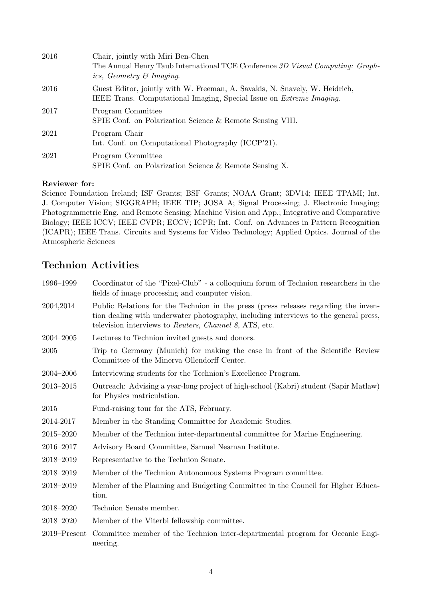| 2016 | Chair, jointly with Miri Ben-Chen                                                                                                                           |
|------|-------------------------------------------------------------------------------------------------------------------------------------------------------------|
|      | The Annual Henry Taub International TCE Conference 3D Visual Computing: Graph-                                                                              |
|      | ics, Geometry $\mathcal C$ Imaging.                                                                                                                         |
| 2016 | Guest Editor, jointly with W. Freeman, A. Savakis, N. Snavely, W. Heidrich,<br>IEEE Trans. Computational Imaging, Special Issue on <i>Extreme Imaging</i> . |
| 2017 | Program Committee<br>SPIE Conf. on Polarization Science & Remote Sensing VIII.                                                                              |
| 2021 | Program Chair<br>Int. Conf. on Computational Photography (ICCP'21).                                                                                         |
| 2021 | Program Committee<br>SPIE Conf. on Polarization Science & Remote Sensing X.                                                                                 |

#### **Reviewer for:**

Science Foundation Ireland; ISF Grants; BSF Grants; NOAA Grant; 3DV14; IEEE TPAMI; Int. J. Computer Vision; SIGGRAPH; IEEE TIP; JOSA A; Signal Processing; J. Electronic Imaging; Photogrammetric Eng. and Remote Sensing; Machine Vision and App.; Integrative and Comparative Biology; IEEE ICCV; IEEE CVPR; ECCV; ICPR; Int. Conf. on Advances in Pattern Recognition (ICAPR); IEEE Trans. Circuits and Systems for Video Technology; Applied Optics. Journal of the Atmospheric Sciences

## **Technion Activities**

| 1996-1999        | Coordinator of the "Pixel-Club" - a colloquium forum of Technion researchers in the<br>fields of image processing and computer vision.                                                                                                |
|------------------|---------------------------------------------------------------------------------------------------------------------------------------------------------------------------------------------------------------------------------------|
| 2004,2014        | Public Relations for the Technion in the press (press releases regarding the inven-<br>tion dealing with underwater photography, including interviews to the general press,<br>television interviews to Reuters, Channel 8, ATS, etc. |
| 2004-2005        | Lectures to Technion invited guests and donors.                                                                                                                                                                                       |
| 2005             | Trip to Germany (Munich) for making the case in front of the Scientific Review<br>Committee of the Minerva Ollendorff Center.                                                                                                         |
| 2004-2006        | Interviewing students for the Technion's Excellence Program.                                                                                                                                                                          |
| 2013-2015        | Outreach: Advising a year-long project of high-school (Kabri) student (Sapir Matlaw)<br>for Physics matriculation.                                                                                                                    |
| 2015             | Fund-raising tour for the ATS, February.                                                                                                                                                                                              |
| 2014-2017        | Member in the Standing Committee for Academic Studies.                                                                                                                                                                                |
| 2015-2020        | Member of the Technion inter-departmental committee for Marine Engineering.                                                                                                                                                           |
| 2016-2017        | Advisory Board Committee, Samuel Neaman Institute.                                                                                                                                                                                    |
| 2018-2019        | Representative to the Technion Senate.                                                                                                                                                                                                |
| 2018-2019        | Member of the Technion Autonomous Systems Program committee.                                                                                                                                                                          |
| 2018-2019        | Member of the Planning and Budgeting Committee in the Council for Higher Educa-<br>tion.                                                                                                                                              |
| 2018-2020        | Technion Senate member.                                                                                                                                                                                                               |
| 2018-2020        | Member of the Viterbi fellowship committee.                                                                                                                                                                                           |
| $2019 -$ Present | Committee member of the Technion inter-departmental program for Oceanic Engi-<br>neering.                                                                                                                                             |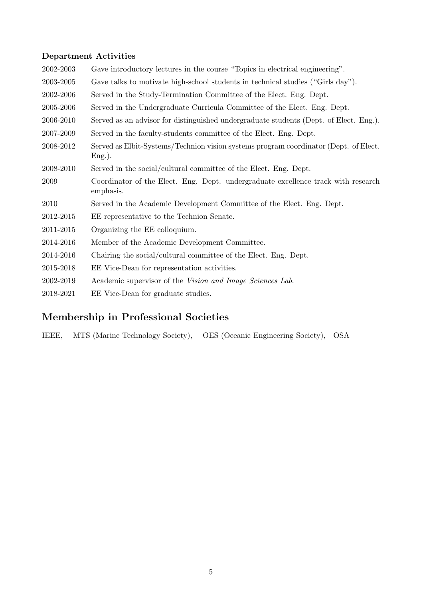#### **Department Activities**

| 2002-2003 | Gave introductory lectures in the course "Topics in electrical engineering".                      |
|-----------|---------------------------------------------------------------------------------------------------|
| 2003-2005 | Gave talks to motivate high-school students in technical studies ("Girls day").                   |
| 2002-2006 | Served in the Study-Termination Committee of the Elect. Eng. Dept.                                |
| 2005-2006 | Served in the Undergraduate Curricula Committee of the Elect. Eng. Dept.                          |
| 2006-2010 | Served as an advisor for distinguished undergraduate students (Dept. of Elect. Eng.).             |
| 2007-2009 | Served in the faculty-students committee of the Elect. Eng. Dept.                                 |
| 2008-2012 | Served as Elbit-Systems/Technion vision systems program coordinator (Dept. of Elect.<br>$Eng.$ ). |
| 2008-2010 | Served in the social/cultural committee of the Elect. Eng. Dept.                                  |
| 2009      | Coordinator of the Elect. Eng. Dept. undergraduate excellence track with research<br>emphasis.    |
| 2010      | Served in the Academic Development Committee of the Elect. Eng. Dept.                             |
| 2012-2015 | EE representative to the Technion Senate.                                                         |
| 2011-2015 | Organizing the EE colloquium.                                                                     |
| 2014-2016 | Member of the Academic Development Committee.                                                     |
| 2014-2016 | Chairing the social/cultural committee of the Elect. Eng. Dept.                                   |
| 2015-2018 | EE Vice-Dean for representation activities.                                                       |
| 2002-2019 | Academic supervisor of the Vision and Image Sciences Lab.                                         |
| 2018-2021 | EE Vice-Dean for graduate studies.                                                                |

# **Membership in Professional Societies**

IEEE, MTS (Marine Technology Society), OES (Oceanic Engineering Society), OSA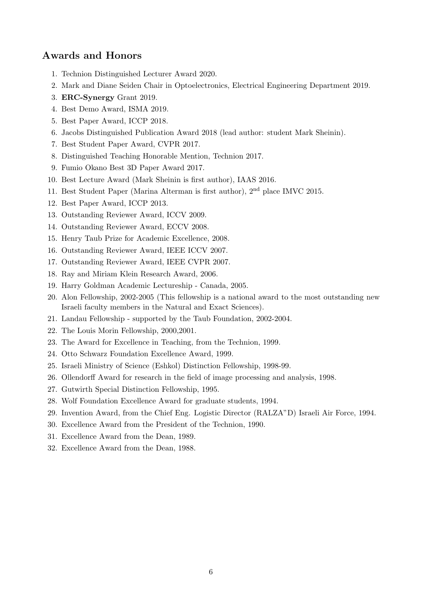#### **Awards and Honors**

- 1. Technion Distinguished Lecturer Award 2020.
- 2. Mark and Diane Seiden Chair in Optoelectronics, Electrical Engineering Department 2019.
- 3. **ERC-Synergy** Grant 2019.
- 4. Best Demo Award, ISMA 2019.
- 5. Best Paper Award, ICCP 2018.
- 6. Jacobs Distinguished Publication Award 2018 (lead author: student Mark Sheinin).
- 7. Best Student Paper Award, CVPR 2017.
- 8. Distinguished Teaching Honorable Mention, Technion 2017.
- 9. Fumio Okano Best 3D Paper Award 2017.
- 10. Best Lecture Award (Mark Sheinin is first author), IAAS 2016.
- 11. Best Student Paper (Marina Alterman is first author), 2nd place IMVC 2015.
- 12. Best Paper Award, ICCP 2013.
- 13. Outstanding Reviewer Award, ICCV 2009.
- 14. Outstanding Reviewer Award, ECCV 2008.
- 15. Henry Taub Prize for Academic Excellence, 2008.
- 16. Outstanding Reviewer Award, IEEE ICCV 2007.
- 17. Outstanding Reviewer Award, IEEE CVPR 2007.
- 18. Ray and Miriam Klein Research Award, 2006.
- 19. Harry Goldman Academic Lectureship Canada, 2005.
- 20. Alon Fellowship, 2002-2005 (This fellowship is a national award to the most outstanding new Israeli faculty members in the Natural and Exact Sciences).
- 21. Landau Fellowship supported by the Taub Foundation, 2002-2004.
- 22. The Louis Morin Fellowship, 2000,2001.
- 23. The Award for Excellence in Teaching, from the Technion, 1999.
- 24. Otto Schwarz Foundation Excellence Award, 1999.
- 25. Israeli Ministry of Science (Eshkol) Distinction Fellowship, 1998-99.
- 26. Ollendorff Award for research in the field of image processing and analysis, 1998.
- 27. Gutwirth Special Distinction Fellowship, 1995.
- 28. Wolf Foundation Excellence Award for graduate students, 1994.
- 29. Invention Award, from the Chief Eng. Logistic Director (RALZA"D) Israeli Air Force, 1994.
- 30. Excellence Award from the President of the Technion, 1990.
- 31. Excellence Award from the Dean, 1989.
- 32. Excellence Award from the Dean, 1988.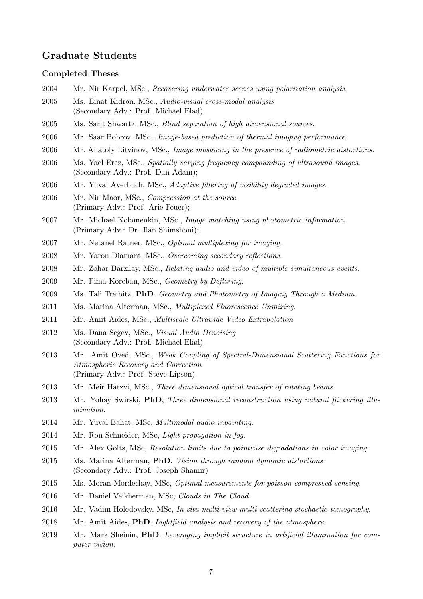#### **Graduate Students**

#### **Completed Theses**

- Mr. Nir Karpel, MSc., *Recovering underwater scenes using polarization analysis*.
- Ms. Einat Kidron, MSc., *Audio-visual cross-modal analysis* (Secondary Adv.: Prof. Michael Elad).
- Ms. Sarit Shwartz, MSc., *Blind separation of high dimensional sources*.
- Mr. Saar Bobrov, MSc., *Image-based prediction of thermal imaging performance*.
- Mr. Anatoly Litvinov, MSc., *Image mosaicing in the presence of radiometric distortions*.
- Ms. Yael Erez, MSc., *Spatially varying frequency compounding of ultrasound images*. (Secondary Adv.: Prof. Dan Adam);
- Mr. Yuval Averbuch, MSc., *Adaptive filtering of visibility degraded images*.
- Mr. Nir Maor, MSc., *Compression at the source*. (Primary Adv.: Prof. Arie Feuer);
- Mr. Michael Kolomenkin, MSc., *Image matching using photometric information*. (Primary Adv.: Dr. Ilan Shimshoni);
- Mr. Netanel Ratner, MSc., *Optimal multiplexing for imaging*.
- Mr. Yaron Diamant, MSc., *Overcoming secondary reflections*.
- Mr. Zohar Barzilay, MSc., *Relating audio and video of multiple simultaneous events*.
- Mr. Fima Koreban, MSc., *Geometry by Deflaring*.
- Ms. Tali Treibitz, **PhD**. *Geometry and Photometry of Imaging Through a Medium*.
- Ms. Marina Alterman, MSc., *Multiplexed Fluorescence Unmixing*.
- Mr. Amit Aides, MSc., *Multiscale Ultrawide Video Extrapolation*
- Ms. Dana Segev, MSc., *Visual Audio Denoising* (Secondary Adv.: Prof. Michael Elad).
- Mr. Amit Oved, MSc., *Weak Coupling of Spectral-Dimensional Scattering Functions for Atmospheric Recovery and Correction* (Primary Adv.: Prof. Steve Lipson).
- Mr. Meir Hatzvi, MSc., *Three dimensional optical transfer of rotating beams*.
- Mr. Yohay Swirski, **PhD**, *Three dimensional reconstruction using natural flickering illumination*.
- Mr. Yuval Bahat, MSc, *Multimodal audio inpainting*.
- Mr. Ron Schneider, MSc, *Light propagation in fog*.
- Mr. Alex Golts, MSc, *Resolution limits due to pointwise degradations in color imaging*.
- Ms. Marina Alterman, **PhD**. *Vision through random dynamic distortions*. (Secondary Adv.: Prof. Joseph Shamir)
- Ms. Moran Mordechay, MSc, *Optimal measurements for poisson compressed sensing*.
- Mr. Daniel Veikherman, MSc, *Clouds in The Cloud*.
- Mr. Vadim Holodovsky, MSc, *In-situ multi-view multi-scattering stochastic tomography*.
- Mr. Amit Aides, **PhD**. *Lightfield analysis and recovery of the atmosphere*.
- Mr. Mark Sheinin, **PhD**. *Leveraging implicit structure in artificial illumination for computer vision*.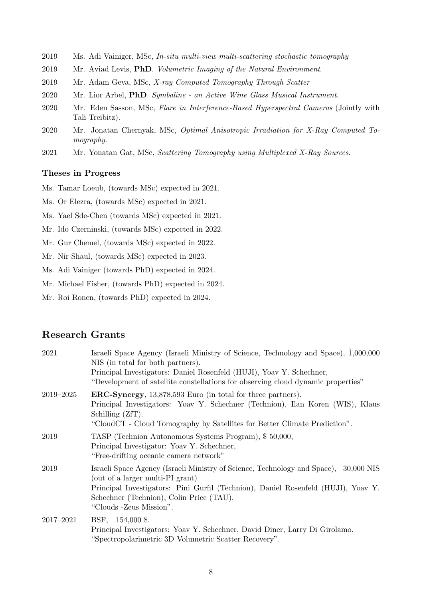- 2019 Ms. Adi Vainiger, MSc, *In-situ multi-view multi-scattering stochastic tomography*
- 2019 Mr. Aviad Levis, **PhD**. *Volumetric Imaging of the Natural Environment*.
- 2019 Mr. Adam Geva, MSc, *X-ray Computed Tomography Through Scatter*
- 2020 Mr. Lior Arbel, **PhD**. *Symbaline an Active Wine Glass Musical Instrument*.
- 2020 Mr. Eden Sasson, MSc, *Flare in Interference-Based Hyperspectral Cameras* (Jointly with Tali Treibitz).
- 2020 Mr. Jonatan Chernyak, MSc, *Optimal Anisotropic Irradiation for X-Ray Computed Tomography*.
- 2021 Mr. Yonatan Gat, MSc, *Scattering Tomography using Multiplexed X-Ray Sources*.

#### **Theses in Progress**

Ms. Tamar Loeub, (towards MSc) expected in 2021.

- Ms. Or Elezra, (towards MSc) expected in 2021.
- Ms. Yael Sde-Chen (towards MSc) expected in 2021.
- Mr. Ido Czerninski, (towards MSc) expected in 2022.
- Mr. Gur Chemel, (towards MSc) expected in 2022.
- Mr. Nir Shaul, (towards MSc) expected in 2023.
- Ms. Adi Vainiger (towards PhD) expected in 2024.
- Mr. Michael Fisher, (towards PhD) expected in 2024.
- Mr. Roi Ronen, (towards PhD) expected in 2024.

#### **Research Grants**

| 2021      | Israeli Space Agency (Israeli Ministry of Science, Technology and Space), 1,000,000<br>NIS (in total for both partners).<br>Principal Investigators: Daniel Rosenfeld (HUJI), Yoav Y. Schechner,<br>"Development of satellite constellations for observing cloud dynamic properties"  |
|-----------|---------------------------------------------------------------------------------------------------------------------------------------------------------------------------------------------------------------------------------------------------------------------------------------|
| 2019–2025 | <b>ERC-Synergy</b> , 13,878,593 Euro (in total for three partners).<br>Principal Investigators: Yoav Y. Schechner (Technion), Ilan Koren (WIS), Klaus<br>Schilling (ZfT).<br>"CloudCT - Cloud Tomography by Satellites for Better Climate Prediction".                                |
| 2019      | TASP (Technion Autonomous Systems Program), \$50,000,<br>Principal Investigator: Yoav Y. Schechner,<br>"Free-drifting oceanic camera network"                                                                                                                                         |
| 2019      | Israeli Space Agency (Israeli Ministry of Science, Technology and Space), 30,000 NIS<br>(out of a larger multi-PI grant)<br>Principal Investigators: Pini Gurfil (Technion), Daniel Rosenfeld (HUJI), Yoav Y.<br>Schechner (Technion), Colin Price (TAU).<br>"Clouds - Zeus Mission". |
| 2017-2021 | BSF, 154,000 \$.<br>Principal Investigators: Yoav Y. Schechner, David Diner, Larry Di Girolamo.<br>"Spectropolarimetric 3D Volumetric Scatter Recovery".                                                                                                                              |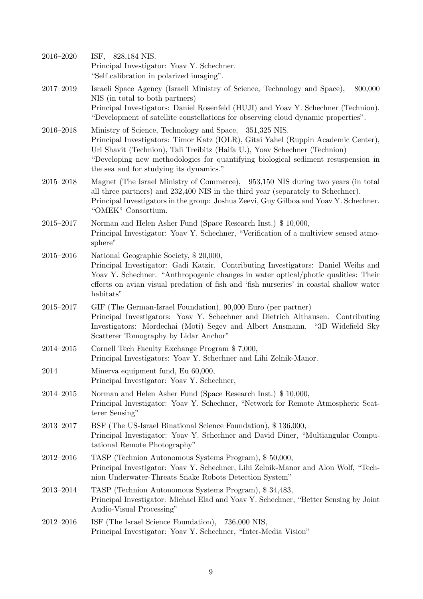| 2016-2020     | ISF, 828,184 NIS.<br>Principal Investigator: Yoav Y. Schechner.<br>"Self calibration in polarized imaging".                                                                                                                                                                                                                                                |
|---------------|------------------------------------------------------------------------------------------------------------------------------------------------------------------------------------------------------------------------------------------------------------------------------------------------------------------------------------------------------------|
| 2017-2019     | Israeli Space Agency (Israeli Ministry of Science, Technology and Space),<br>800,000<br>NIS (in total to both partners)<br>Principal Investigators: Daniel Rosenfeld (HUJI) and Yoav Y. Schechner (Technion).<br>"Development of satellite constellations for observing cloud dynamic properties".                                                         |
| 2016-2018     | Ministry of Science, Technology and Space, 351,325 NIS.<br>Principal Investigators: Timor Katz (IOLR), Gitai Yahel (Ruppin Academic Center),<br>Uri Shavit (Technion), Tali Treibitz (Haifa U.), Yoav Schechner (Technion)<br>"Developing new methodologies for quantifying biological sediment resuspension in<br>the sea and for studying its dynamics." |
| $2015 - 2018$ | Magnet (The Israel Ministry of Commerce), 953,150 NIS during two years (in total<br>all three partners) and 232,400 NIS in the third year (separately to Schechner).<br>Principal Investigators in the group: Joshua Zeevi, Guy Gilboa and Yoav Y. Schechner.<br>"OMEK" Consortium.                                                                        |
| $2015 - 2017$ | Norman and Helen Asher Fund (Space Research Inst.) \$10,000,<br>Principal Investigator: Yoav Y. Schechner, "Verification of a multiview sensed atmo-<br>sphere"                                                                                                                                                                                            |
| $2015 - 2016$ | National Geographic Society, \$20,000,<br>Principal Investigator: Gadi Katzir. Contributing Investigators: Daniel Weihs and<br>Yoav Y. Schechner. "Anthropogenic changes in water optical/photic qualities: Their<br>effects on avian visual predation of fish and 'fish nurseries' in coastal shallow water<br>habitats"                                  |
| $2015 - 2017$ | GIF (The German-Israel Foundation), 90,000 Euro (per partner)<br>Principal Investigators: Yoav Y. Schechner and Dietrich Althausen. Contributing<br>Investigators: Mordechai (Moti) Segev and Albert Ansmann.<br>"3D Widefield Sky"<br>Scatterer Tomography by Lidar Anchor"                                                                               |
| $2014 - 2015$ | Cornell Tech Faculty Exchange Program \$7,000,<br>Principal Investigators: Yoav Y. Schechner and Lihi Zelnik-Manor.                                                                                                                                                                                                                                        |
| $\,2014$      | Minerva equipment fund, Eu 60,000,<br>Principal Investigator: Yoav Y. Schechner,                                                                                                                                                                                                                                                                           |
| $2014 - 2015$ | Norman and Helen Asher Fund (Space Research Inst.) \$10,000,<br>Principal Investigator: Yoav Y. Schechner, "Network for Remote Atmospheric Scat-<br>terer Sensing"                                                                                                                                                                                         |
| $2013 - 2017$ | BSF (The US-Israel Binational Science Foundation), \$136,000,<br>Principal Investigator: Yoav Y. Schechner and David Diner, "Multiangular Compu-<br>tational Remote Photography"                                                                                                                                                                           |
| $2012 - 2016$ | TASP (Technion Autonomous Systems Program), \$50,000,<br>Principal Investigator: Yoav Y. Schechner, Lihi Zelnik-Manor and Alon Wolf, "Tech-<br>nion Underwater-Threats Snake Robots Detection System"                                                                                                                                                      |
| $2013 - 2014$ | TASP (Technion Autonomous Systems Program), \$34,483,<br>Principal Investigator: Michael Elad and Yoav Y. Schechner, "Better Sensing by Joint"<br>Audio-Visual Processing"                                                                                                                                                                                 |
| $2012 - 2016$ | ISF (The Israel Science Foundation), 736,000 NIS,<br>Principal Investigator: Yoav Y. Schechner, "Inter-Media Vision"                                                                                                                                                                                                                                       |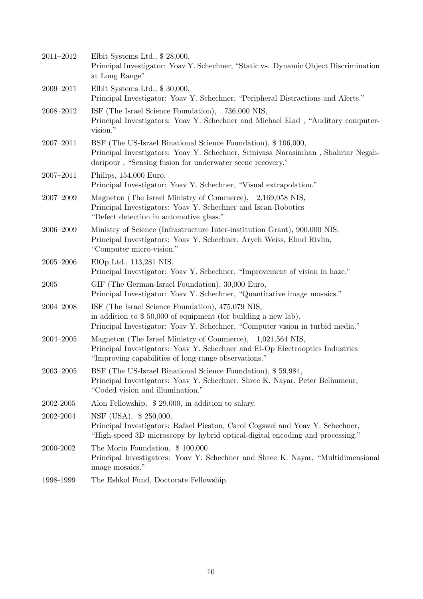| 2011-2012     | Elbit Systems Ltd., \$28,000,<br>Principal Investigator: Yoav Y. Schechner, "Static vs. Dynamic Object Discrimination<br>at Long Range"                                                                         |
|---------------|-----------------------------------------------------------------------------------------------------------------------------------------------------------------------------------------------------------------|
| 2009-2011     | Elbit Systems Ltd., $$30,000$ ,<br>Principal Investigator: Yoav Y. Schechner, "Peripheral Distractions and Alerts."                                                                                             |
| 2008-2012     | ISF (The Israel Science Foundation), 736,000 NIS,<br>Principal Investigators: Yoav Y. Schechner and Michael Elad, "Auditory computer-<br>vision."                                                               |
| $2007 - 2011$ | BSF (The US-Israel Binational Science Foundation), \$106,000,<br>Principal Investigators: Yoav Y. Schechner, Srinivasa Narasimhan, Shahriar Negah-<br>daripour, "Sensing fusion for underwater scene recovery." |
| 2007-2011     | Philips, 154,000 Euro.<br>Principal Investigator: Yoav Y. Schechner, "Visual extrapolation."                                                                                                                    |
| $2007 - 2009$ | Magneton (The Israel Ministry of Commerce), 2,169,058 NIS,<br>Principal Investigators: Yoav Y. Schechner and Iscan-Robotics<br>"Defect detection in automotive glass."                                          |
| 2006-2009     | Ministry of Science (Infrastructure Inter-institution Grant), 900,000 NIS,<br>Principal Investigators: Yoav Y. Schechner, Aryeh Weiss, Ehud Rivlin,<br>"Computer micro-vision."                                 |
| $2005 - 2006$ | ElOp Ltd., 113,281 NIS.<br>Principal Investigator: Yoav Y. Schechner, "Improvement of vision in haze."                                                                                                          |
| 2005          | GIF (The German-Israel Foundation), 30,000 Euro,<br>Principal Investigator: Yoav Y. Schechner, "Quantitative image mosaics."                                                                                    |
| 2004-2008     | ISF (The Israel Science Foundation), 475,079 NIS,<br>in addition to $$50,000$ of equipment (for building a new lab).<br>Principal Investigator: Yoav Y. Schechner, "Computer vision in turbid media."           |
| $2004 - 2005$ | Magneton (The Israel Ministry of Commerce), 1,021,564 NIS,<br>Principal Investigators: Yoav Y. Schechner and El-Op Electrooptics Industries<br>"Improving capabilities of long-range observations."             |
| $2003 - 2005$ | BSF (The US-Israel Binational Science Foundation), \$59,984,<br>Principal Investigators: Yoav Y. Schechner, Shree K. Nayar, Peter Belhumeur,<br>"Coded vision and illumination."                                |
| 2002-2005     | Alon Fellowship, \$29,000, in addition to salary.                                                                                                                                                               |
| 2002-2004     | NSF (USA), \$250,000,<br>Principal Investigators: Rafael Piestun, Carol Cogswel and Yoav Y. Schechner,<br>"High-speed 3D microscopy by hybrid optical-digital encoding and processing."                         |
| 2000-2002     | The Morin Foundation, \$100,000<br>Principal Investigators: Yoav Y. Schechner and Shree K. Nayar, "Multidimensional<br>image mosaics."                                                                          |
| 1998-1999     | The Eshkol Fund, Doctorate Fellowship.                                                                                                                                                                          |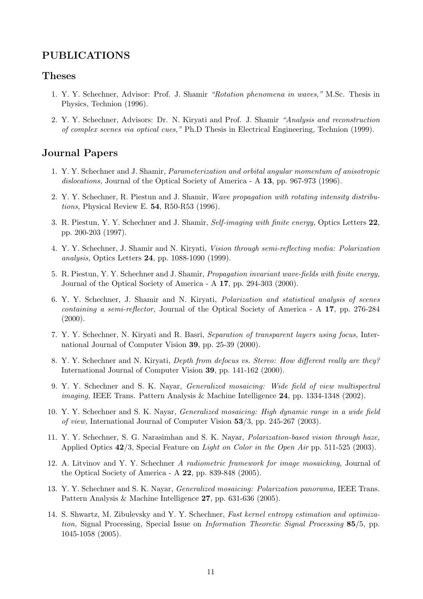#### **PUBLICATIONS**

#### **Theses**

- 1. Y. Y. Schechner, Advisor: Prof. J. Shamir *"Rotation phenomena in waves,"* M.Sc. Thesis in Physics, Technion (1996).
- 2. Y. Y. Schechner, Advisors: Dr. N. Kiryati and Prof. J. Shamir *"Analysis and reconstruction of complex scenes via optical cues,"* Ph.D Thesis in Electrical Engineering, Technion (1999).

#### **Journal Papers**

- 1. Y. Y. Schechner and J. Shamir, *Parameterization and orbital angular momentum of anisotropic dislocations,* Journal of the Optical Society of America - A **13**, pp. 967-973 (1996).
- 2. Y. Y. Schechner, R. Piestun and J. Shamir, *Wave propagation with rotating intensity distributions,* Physical Review E. **54**, R50-R53 (1996).
- 3. R. Piestun, Y. Y. Schechner and J. Shamir, *Self-imaging with finite energy,* Optics Letters **22**, pp. 200-203 (1997).
- 4. Y. Y. Schechner, J. Shamir and N. Kiryati, *Vision through semi-reflecting media: Polarization analysis,* Optics Letters **24**, pp. 1088-1090 (1999).
- 5. R. Piestun, Y. Y. Schechner and J. Shamir, *Propagation invariant wave-fields with finite energy,* Journal of the Optical Society of America - A **17**, pp. 294-303 (2000).
- 6. Y. Y. Schechner, J. Shamir and N. Kiryati, *Polarization and statistical analysis of scenes containing a semi-reflector,* Journal of the Optical Society of America - A **17**, pp. 276-284  $(2000).$
- 7. Y. Y. Schechner, N. Kiryati and R. Basri, *Separation of transparent layers using focus,* International Journal of Computer Vision **39**, pp. 25-39 (2000).
- 8. Y. Y. Schechner and N. Kiryati, *Depth from defocus vs. Stereo: How different really are they?* International Journal of Computer Vision **39**, pp. 141-162 (2000).
- 9. Y. Y. Schechner and S. K. Nayar, *Generalized mosaicing: Wide field of view multispectral imaging,* IEEE Trans. Pattern Analysis & Machine Intelligence **24**, pp. 1334-1348 (2002).
- 10. Y. Y. Schechner and S. K. Nayar, *Generalized mosaicing: High dynamic range in a wide field of view,* International Journal of Computer Vision **53**/3, pp. 245-267 (2003).
- 11. Y. Y. Schechner, S. G. Narasimhan and S. K. Nayar, *Polarization-based vision through haze,* Applied Optics **42**/3, Special Feature on *Light on Color in the Open Air* pp. 511-525 (2003).
- 12. A. Litvinov and Y. Y. Schechner *A radiometric framework for image mosaicking,* Journal of the Optical Society of America - A **22**, pp. 839-848 (2005).
- 13. Y. Y. Schechner and S. K. Nayar, *Generalized mosaicing: Polarization panorama,* IEEE Trans. Pattern Analysis & Machine Intelligence **27**, pp. 631-636 (2005).
- 14. S. Shwartz, M. Zibulevsky and Y. Y. Schechner, *Fast kernel entropy estimation and optimization,* Signal Processing, Special Issue on *Information Theoretic Signal Processing* **85**/5, pp. 1045-1058 (2005).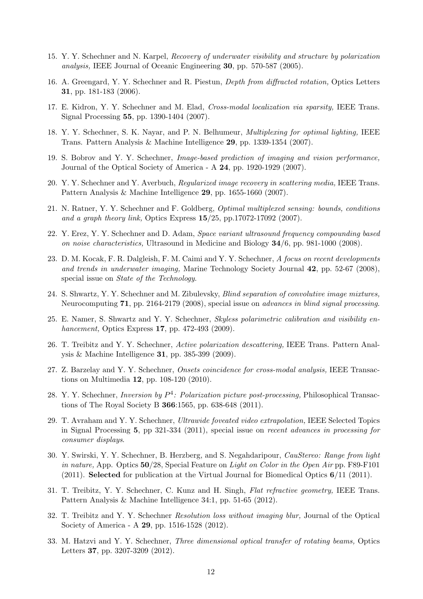- 15. Y. Y. Schechner and N. Karpel, *Recovery of underwater visibility and structure by polarization analysis,* IEEE Journal of Oceanic Engineering **30**, pp. 570-587 (2005).
- 16. A. Greengard, Y. Y. Schechner and R. Piestun, *Depth from diffracted rotation,* Optics Letters **31**, pp. 181-183 (2006).
- 17. E. Kidron, Y. Y. Schechner and M. Elad, *Cross-modal localization via sparsity,* IEEE Trans. Signal Processing **55**, pp. 1390-1404 (2007).
- 18. Y. Y. Schechner, S. K. Nayar, and P. N. Belhumeur, *Multiplexing for optimal lighting,* IEEE Trans. Pattern Analysis & Machine Intelligence **29**, pp. 1339-1354 (2007).
- 19. S. Bobrov and Y. Y. Schechner, *Image-based prediction of imaging and vision performance,* Journal of the Optical Society of America - A **24**, pp. 1920-1929 (2007).
- 20. Y. Y. Schechner and Y. Averbuch, *Regularized image recovery in scattering media,* IEEE Trans. Pattern Analysis & Machine Intelligence **29**, pp. 1655-1660 (2007).
- 21. N. Ratner, Y. Y. Schechner and F. Goldberg, *Optimal multiplexed sensing: bounds, conditions and a graph theory link,* Optics Express **15**/25, pp.17072-17092 (2007).
- 22. Y. Erez, Y. Y. Schechner and D. Adam, *Space variant ultrasound frequency compounding based on noise characteristics,* Ultrasound in Medicine and Biology **34**/6, pp. 981-1000 (2008).
- 23. D. M. Kocak, F. R. Dalgleish, F. M. Caimi and Y. Y. Schechner, *A focus on recent developments and trends in underwater imaging,* Marine Technology Society Journal **42**, pp. 52-67 (2008), special issue on *State of the Technology*.
- 24. S. Shwartz, Y. Y. Schechner and M. Zibulevsky, *Blind separation of convolutive image mixtures,* Neurocomputing **71**, pp. 2164-2179 (2008), special issue on *advances in blind signal processing*.
- 25. E. Namer, S. Shwartz and Y. Y. Schechner, *Skyless polarimetric calibration and visibility enhancement,* Optics Express **17**, pp. 472-493 (2009).
- 26. T. Treibitz and Y. Y. Schechner, *Active polarization descattering,* IEEE Trans. Pattern Analysis & Machine Intelligence **31**, pp. 385-399 (2009).
- 27. Z. Barzelay and Y. Y. Schechner, *Onsets coincidence for cross-modal analysis,* IEEE Transactions on Multimedia **12**, pp. 108-120 (2010).
- 28. Y. Y. Schechner, *Inversion by P* 4 *: Polarization picture post-processing,* Philosophical Transactions of The Royal Society B **366**:1565, pp. 638-648 (2011).
- 29. T. Avraham and Y. Y. Schechner, *Ultrawide foveated video extrapolation,* IEEE Selected Topics in Signal Processing **5**, pp 321-334 (2011), special issue on *recent advances in processing for consumer displays*.
- 30. Y. Swirski, Y. Y. Schechner, B. Herzberg, and S. Negahdaripour, *CauStereo: Range from light in nature,* App. Optics **50**/28, Special Feature on *Light on Color in the Open Air* pp. F89-F101 (2011). **Selected** for publication at the Virtual Journal for Biomedical Optics **6**/11 (2011).
- 31. T. Treibitz, Y. Y. Schechner, C. Kunz and H. Singh, *Flat refractive geometry,* IEEE Trans. Pattern Analysis & Machine Intelligence 34:1, pp. 51-65 (2012).
- 32. T. Treibitz and Y. Y. Schechner *Resolution loss without imaging blur,* Journal of the Optical Society of America - A **29**, pp. 1516-1528 (2012).
- 33. M. Hatzvi and Y. Y. Schechner, *Three dimensional optical transfer of rotating beams,* Optics Letters **37**, pp. 3207-3209 (2012).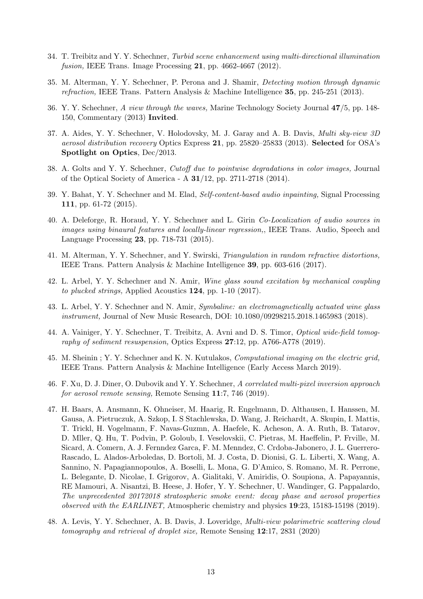- 34. T. Treibitz and Y. Y. Schechner, *Turbid scene enhancement using multi-directional illumination fusion,* IEEE Trans. Image Processing **21**, pp. 4662-4667 (2012).
- 35. M. Alterman, Y. Y. Schechner, P. Perona and J. Shamir, *Detecting motion through dynamic refraction,* IEEE Trans. Pattern Analysis & Machine Intelligence **35**, pp. 245-251 (2013).
- 36. Y. Y. Schechner, *A view through the waves,* Marine Technology Society Journal **47**/5, pp. 148- 150, Commentary (2013) **Invited**.
- 37. A. Aides, Y. Y. Schechner, V. Holodovsky, M. J. Garay and A. B. Davis, *Multi sky-view 3D aerosol distribution recovery* Optics Express **21**, pp. 25820–25833 (2013). **Selected** for OSA's **Spotlight on Optics**, Dec/2013.
- 38. A. Golts and Y. Y. Schechner, *Cutoff due to pointwise degradations in color images,* Journal of the Optical Society of America - A **31**/12, pp. 2711-2718 (2014).
- 39. Y. Bahat, Y. Y. Schechner and M. Elad, *Self-content-based audio inpainting,* Signal Processing **111**, pp. 61-72 (2015).
- 40. A. Deleforge, R. Horaud, Y. Y. Schechner and L. Girin *Co-Localization of audio sources in images using binaural features and locally-linear regression,*, IEEE Trans. Audio, Speech and Language Processing **23**, pp. 718-731 (2015).
- 41. M. Alterman, Y. Y. Schechner, and Y. Swirski, *Triangulation in random refractive distortions,* IEEE Trans. Pattern Analysis & Machine Intelligence **39**, pp. 603-616 (2017).
- 42. L. Arbel, Y. Y. Schechner and N. Amir, *Wine glass sound excitation by mechanical coupling to plucked strings,* Applied Acoustics **124**, pp. 1-10 (2017).
- 43. L. Arbel, Y. Y. Schechner and N. Amir, *Symbaline: an electromagnetically actuated wine glass instrument,* Journal of New Music Research, DOI: 10.1080/09298215.2018.1465983 (2018).
- 44. A. Vainiger, Y. Y. Schechner, T. Treibitz, A. Avni and D. S. Timor, *Optical wide-field tomography of sediment resuspension,* Optics Express **27**:12, pp. A766-A778 (2019).
- 45. M. Sheinin ; Y. Y. Schechner and K. N. Kutulakos, *Computational imaging on the electric grid,* IEEE Trans. Pattern Analysis & Machine Intelligence (Early Access March 2019).
- 46. F. Xu, D. J. Diner, O. Dubovik and Y. Y. Schechner, *A correlated multi-pixel inversion approach for aerosol remote sensing,* Remote Sensing **11**:7, 746 (2019).
- 47. H. Baars, A. Ansmann, K. Ohneiser, M. Haarig, R. Engelmann, D. Althausen, I. Hanssen, M. Gausa, A. Pietruczuk, A. Szkop, I. S Stachlewska, D. Wang, J. Reichardt, A. Skupin, I. Mattis, T. Trickl, H. Vogelmann, F. Navas-Guzmn, A. Haefele, K. Acheson, A. A. Ruth, B. Tatarov, D. Mller, Q. Hu, T. Podvin, P. Goloub, I. Veselovskii, C. Pietras, M. Haeffelin, P. Frville, M. Sicard, A. Comern, A. J. Fernndez Garca, F. M. Menndez, C. Crdoba-Jabonero, J. L. Guerrero-Rascado, L. Alados-Arboledas, D. Bortoli, M. J. Costa, D. Dionisi, G. L. Liberti, X. Wang, A. Sannino, N. Papagiannopoulos, A. Boselli, L. Mona, G. D'Amico, S. Romano, M. R. Perrone, L. Belegante, D. Nicolae, I. Grigorov, A. Gialitaki, V. Amiridis, O. Soupiona, A. Papayannis, RE Mamouri, A. Nisantzi, B. Heese, J. Hofer, Y. Y. Schechner, U. Wandinger, G. Pappalardo, *The unprecedented 20172018 stratospheric smoke event: decay phase and aerosol properties observed with the EARLINET,* Atmospheric chemistry and physics **19**:23, 15183-15198 (2019).
- 48. A. Levis, Y. Y. Schechner, A. B. Davis, J. Loveridge, *Multi-view polarimetric scattering cloud tomography and retrieval of droplet size,* Remote Sensing **12**:17, 2831 (2020)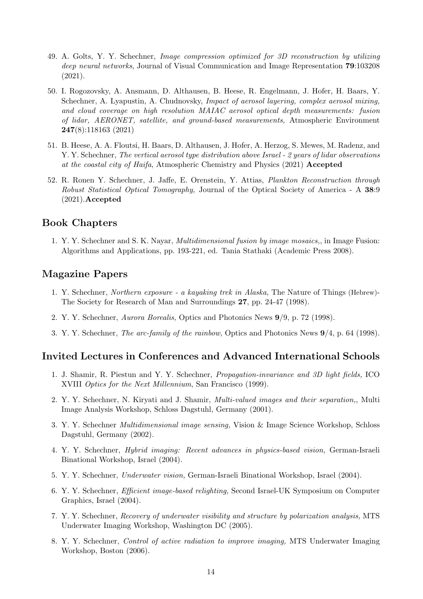- 49. A. Golts, Y. Y. Schechner, *Image compression optimized for 3D reconstruction by utilizing deep neural networks*, Journal of Visual Communication and Image Representation **79**:103208 (2021).
- 50. I. Rogozovsky, A. Ansmann, D. Althausen, B. Heese, R. Engelmann, J. Hofer, H. Baars, Y. Schechner, A. Lyapustin, A. Chudnovsky, *Impact of aerosol layering, complex aerosol mixing, and cloud coverage on high resolution MAIAC aerosol optical depth measurements: fusion of lidar, AERONET, satellite, and ground-based measurements,* Atmospheric Environment **247**(8):118163 (2021)
- 51. B. Heese, A. A. Floutsi, H. Baars, D. Althausen, J. Hofer, A. Herzog, S. Mewes, M. Radenz, and Y. Y. Schechner, *The vertical aerosol type distribution above Israel - 2 years of lidar observations at the coastal city of Haifa*, Atmospheric Chemistry and Physics (2021) **Accepted**
- 52. R. Ronen Y. Schechner, J. Jaffe, E. Orenstein, Y. Attias, *Plankton Reconstruction through Robust Statistical Optical Tomography,* Journal of the Optical Society of America - A **38**:9 (2021).**Accepted**

#### **Book Chapters**

1. Y. Y. Schechner and S. K. Nayar, *Multidimensional fusion by image mosaics,*, in Image Fusion: Algorithms and Applications, pp. 193-221, ed. Tania Stathaki (Academic Press 2008).

#### **Magazine Papers**

- 1. Y. Schechner, *Northern exposure a kayaking trek in Alaska,* The Nature of Things (Hebrew)- The Society for Research of Man and Surroundings **27**, pp. 24-47 (1998).
- 2. Y. Y. Schechner, *Aurora Borealis,* Optics and Photonics News **9**/9, p. 72 (1998).
- 3. Y. Y. Schechner, *The arc-family of the rainbow,* Optics and Photonics News **9**/4, p. 64 (1998).

#### **Invited Lectures in Conferences and Advanced International Schools**

- 1. J. Shamir, R. Piestun and Y. Y. Schechner, *Propagation-invariance and 3D light fields,* ICO XVIII *Optics for the Next Millennium*, San Francisco (1999).
- 2. Y. Y. Schechner, N. Kiryati and J. Shamir, *Multi-valued images and their separation,*, Multi Image Analysis Workshop, Schloss Dagstuhl, Germany (2001).
- 3. Y. Y. Schechner *Multidimensional image sensing,* Vision & Image Science Workshop, Schloss Dagstuhl, Germany (2002).
- 4. Y. Y. Schechner, *Hybrid imaging: Recent advances in physics-based vision,* German-Israeli Binational Workshop, Israel (2004).
- 5. Y. Y. Schechner, *Underwater vision,* German-Israeli Binational Workshop, Israel (2004).
- 6. Y. Y. Schechner, *Efficient image-based relighting,* Second Israel-UK Symposium on Computer Graphics, Israel (2004).
- 7. Y. Y. Schechner, *Recovery of underwater visibility and structure by polarization analysis,* MTS Underwater Imaging Workshop, Washington DC (2005).
- 8. Y. Y. Schechner, *Control of active radiation to improve imaging,* MTS Underwater Imaging Workshop, Boston (2006).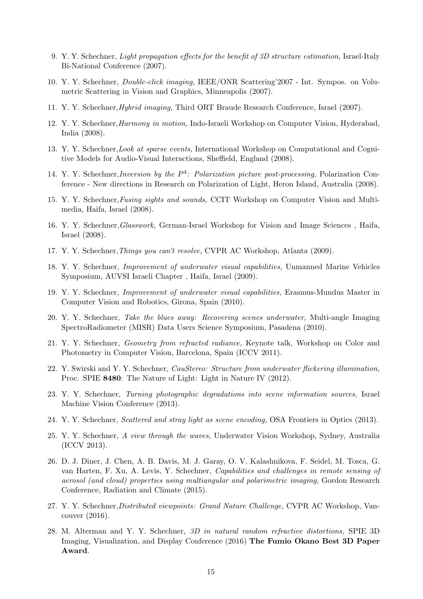- 9. Y. Y. Schechner, *Light propagation effects for the benefit of 3D structure estimation,* Israel-Italy Bi-National Conference (2007).
- 10. Y. Y. Schechner, *Double-click imaging,* IEEE/ONR Scattering'2007 Int. Sympos. on Volumetric Scattering in Vision and Graphics, Minneapolis (2007).
- 11. Y. Y. Schechner,*Hybrid imaging,* Third ORT Braude Research Conference, Israel (2007).
- 12. Y. Y. Schechner,*Harmony in motion,* Indo-Israeli Workshop on Computer Vision, Hyderabad, India (2008).
- 13. Y. Y. Schechner,*Look at sparse events,* International Workshop on Computational and Cognitive Models for Audio-Visual Interactions, Sheffield, England (2008).
- 14. Y. Y. Schechner,*Inversion by the P* 4 *: Polarization picture post-processing,* Polarization Conference - New directions in Research on Polarization of Light, Heron Island, Australia (2008).
- 15. Y. Y. Schechner,*Fusing sights and sounds,* CCIT Workshop on Computer Vision and Multimedia, Haifa, Israel (2008).
- 16. Y. Y. Schechner,*Glasswork,* German-Israel Workshop for Vision and Image Sciences , Haifa, Israel (2008).
- 17. Y. Y. Schechner,*Things you can't resolve,* CVPR AC Workshop, Atlanta (2009).
- 18. Y. Y. Schechner, *Improvement of underwater visual capabilities,* Unmanned Marine Vehicles Symposium, AUVSI Israeli Chapter , Haifa, Israel (2009).
- 19. Y. Y. Schechner, *Improvement of underwater visual capabilities,* Erasmus-Mundus Master in Computer Vision and Robotics, Girona, Spain (2010).
- 20. Y. Y. Schechner, *Take the blues away: Recovering scenes underwater,* Multi-angle Imaging SpectroRadiometer (MISR) Data Users Science Symposium, Pasadena (2010).
- 21. Y. Y. Schechner, *Geometry from refracted radiance,* Keynote talk, Workshop on Color and Photometry in Computer Vision, Barcelona, Spain (ICCV 2011).
- 22. Y. Swirski and Y. Y. Schechner, *CauStereo: Structure from underwater flickering illumination,* Proc. SPIE **8480**: The Nature of Light: Light in Nature IV (2012).
- 23. Y. Y. Schechner, *Turning photographic degradations into scene information sources,* Israel Machine Vision Conference (2013).
- 24. Y. Y. Schechner, *Scattered and stray light as scene encoding,* OSA Frontiers in Optics (2013).
- 25. Y. Y. Schechner, *A view through the waves,* Underwater Vision Workshop, Sydney, Australia (ICCV 2013).
- 26. D. J. Diner, J. Chen, A. B. Davis, M. J. Garay, O. V. Kalashnikova, F. Seidel, M. Tosca, G. van Harten, F. Xu, A. Levis, Y. Schechner, *Capabilities and challenges in remote sensing of aerosol (and cloud) properties using multiangular and polarimetric imaging,* Gordon Research Conference, Radiation and Climate (2015).
- 27. Y. Y. Schechner,*Distributed viewpoints: Grand Nature Challenge,* CVPR AC Workshop, Vancouver (2016).
- 28. M. Alterman and Y. Y. Schechner, *3D in natural random refractive distortions,* SPIE 3D Imaging, Visualization, and Display Conference (2016) **The Fumio Okano Best 3D Paper Award**.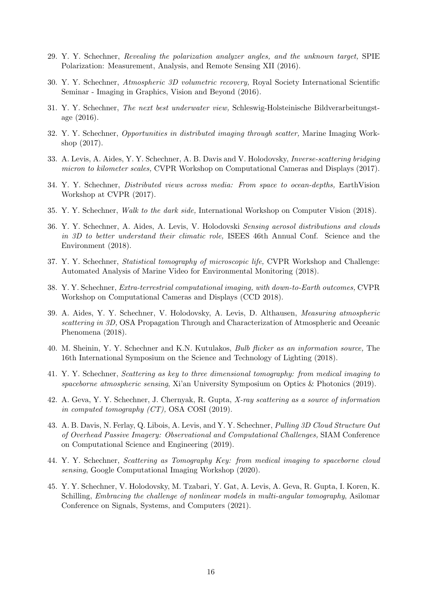- 29. Y. Y. Schechner, *Revealing the polarization analyzer angles, and the unknown target,* SPIE Polarization: Measurement, Analysis, and Remote Sensing XII (2016).
- 30. Y. Y. Schechner, *Atmospheric 3D volumetric recovery,* Royal Society International Scientific Seminar - Imaging in Graphics, Vision and Beyond (2016).
- 31. Y. Y. Schechner, *The next best underwater view,* Schleswig-Holsteinische Bildverarbeitungstage (2016).
- 32. Y. Y. Schechner, *Opportunities in distributed imaging through scatter,* Marine Imaging Workshop (2017).
- 33. A. Levis, A. Aides, Y. Y. Schechner, A. B. Davis and V. Holodovsky, *Inverse-scattering bridging micron to kilometer scales,* CVPR Workshop on Computational Cameras and Displays (2017).
- 34. Y. Y. Schechner, *Distributed views across media: From space to ocean-depths,* EarthVision Workshop at CVPR (2017).
- 35. Y. Y. Schechner, *Walk to the dark side,* International Workshop on Computer Vision (2018).
- 36. Y. Y. Schechner, A. Aides, A. Levis, V. Holodovski *Sensing aerosol distributions and clouds in 3D to better understand their climatic role,* ISEES 46th Annual Conf. Science and the Environment (2018).
- 37. Y. Y. Schechner, *Statistical tomography of microscopic life,* CVPR Workshop and Challenge: Automated Analysis of Marine Video for Environmental Monitoring (2018).
- 38. Y. Y. Schechner, *Extra-terrestrial computational imaging, with down-to-Earth outcomes,* CVPR Workshop on Computational Cameras and Displays (CCD 2018).
- 39. A. Aides, Y. Y. Schechner, V. Holodovsky, A. Levis, D. Althausen, *Measuring atmospheric scattering in 3D,* OSA Propagation Through and Characterization of Atmospheric and Oceanic Phenomena (2018).
- 40. M. Sheinin, Y. Y. Schechner and K.N. Kutulakos, *Bulb flicker as an information source,* The 16th International Symposium on the Science and Technology of Lighting (2018).
- 41. Y. Y. Schechner, *Scattering as key to three dimensional tomography: from medical imaging to spaceborne atmospheric sensing*, Xi'an University Symposium on Optics & Photonics (2019).
- 42. A. Geva, Y. Y. Schechner, J. Chernyak, R. Gupta, *X-ray scattering as a source of information in computed tomography (CT),* OSA COSI (2019).
- 43. A. B. Davis, N. Ferlay, Q. Libois, A. Levis, and Y. Y. Schechner, *Pulling 3D Cloud Structure Out of Overhead Passive Imagery: Observational and Computational Challenges,* SIAM Conference on Computational Science and Engineering (2019).
- 44. Y. Y. Schechner, *Scattering as Tomography Key: from medical imaging to spaceborne cloud sensing*, Google Computational Imaging Workshop (2020).
- 45. Y. Y. Schechner, V. Holodovsky, M. Tzabari, Y. Gat, A. Levis, A. Geva, R. Gupta, I. Koren, K. Schilling, *Embracing the challenge of nonlinear models in multi-angular tomography*, Asilomar Conference on Signals, Systems, and Computers (2021).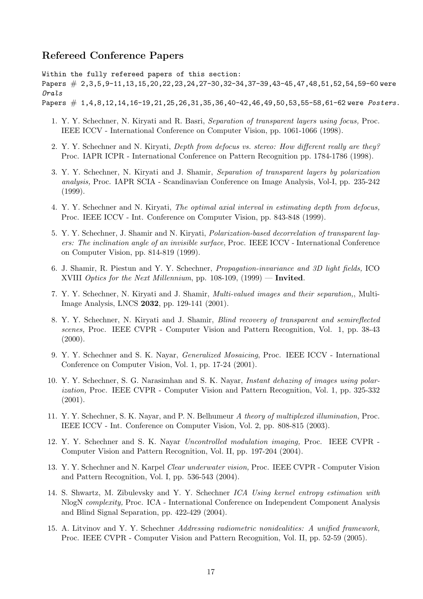#### **Refereed Conference Papers**

Within the fully refereed papers of this section: Papers  $\#$  2,3,5,9-11,13,15,20,22,23,24,27-30,32-34,37-39,43-45,47,48,51,52,54,59-60 were *Orals* Papers # 1,4,8,12,14,16-19,21,25,26,31,35,36,40-42,46,49,50,53,55-58,61-62 were *Posters*.

- 1. Y. Y. Schechner, N. Kiryati and R. Basri, *Separation of transparent layers using focus,* Proc. IEEE ICCV - International Conference on Computer Vision, pp. 1061-1066 (1998).
- 2. Y. Y. Schechner and N. Kiryati, *Depth from defocus vs. stereo: How different really are they?* Proc. IAPR ICPR - International Conference on Pattern Recognition pp. 1784-1786 (1998).
- 3. Y. Y. Schechner, N. Kiryati and J. Shamir, *Separation of transparent layers by polarization analysis,* Proc. IAPR SCIA - Scandinavian Conference on Image Analysis, Vol-I, pp. 235-242 (1999).
- 4. Y. Y. Schechner and N. Kiryati, *The optimal axial interval in estimating depth from defocus,* Proc. IEEE ICCV - Int. Conference on Computer Vision, pp. 843-848 (1999).
- 5. Y. Y. Schechner, J. Shamir and N. Kiryati, *Polarization-based decorrelation of transparent layers: The inclination angle of an invisible surface,* Proc. IEEE ICCV - International Conference on Computer Vision, pp. 814-819 (1999).
- 6. J. Shamir, R. Piestun and Y. Y. Schechner, *Propagation-invariance and 3D light fields,* ICO XVIII *Optics for the Next Millennium*, pp. 108-109, (1999) — **Invited**.
- 7. Y. Y. Schechner, N. Kiryati and J. Shamir, *Multi-valued images and their separation,*, Multi-Image Analysis, LNCS **2032**, pp. 129-141 (2001).
- 8. Y. Y. Schechner, N. Kiryati and J. Shamir, *Blind recovery of transparent and semireflected scenes,* Proc. IEEE CVPR - Computer Vision and Pattern Recognition, Vol. 1, pp. 38-43  $(2000)$ .
- 9. Y. Y. Schechner and S. K. Nayar, *Generalized Mosaicing*, Proc. IEEE ICCV International Conference on Computer Vision, Vol. 1, pp. 17-24 (2001).
- 10. Y. Y. Schechner, S. G. Narasimhan and S. K. Nayar, *Instant dehazing of images using polarization,* Proc. IEEE CVPR - Computer Vision and Pattern Recognition, Vol. 1, pp. 325-332 (2001).
- 11. Y. Y. Schechner, S. K. Nayar, and P. N. Belhumeur *A theory of multiplexed illumination,* Proc. IEEE ICCV - Int. Conference on Computer Vision, Vol. 2, pp. 808-815 (2003).
- 12. Y. Y. Schechner and S. K. Nayar *Uncontrolled modulation imaging,* Proc. IEEE CVPR Computer Vision and Pattern Recognition, Vol. II, pp. 197-204 (2004).
- 13. Y. Y. Schechner and N. Karpel *Clear underwater vision,* Proc. IEEE CVPR Computer Vision and Pattern Recognition, Vol. I, pp. 536-543 (2004).
- 14. S. Shwartz, M. Zibulevsky and Y. Y. Schechner *ICA Using kernel entropy estimation with* NlogN *complexity,* Proc. ICA - International Conference on Independent Component Analysis and Blind Signal Separation, pp. 422-429 (2004).
- 15. A. Litvinov and Y. Y. Schechner *Addressing radiometric nonidealities: A unified framework,* Proc. IEEE CVPR - Computer Vision and Pattern Recognition, Vol. II, pp. 52-59 (2005).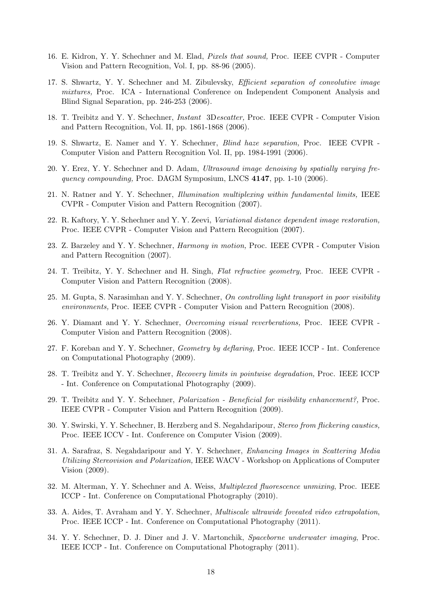- 16. E. Kidron, Y. Y. Schechner and M. Elad, *Pixels that sound,* Proc. IEEE CVPR Computer Vision and Pattern Recognition, Vol. I, pp. 88-96 (2005).
- 17. S. Shwartz, Y. Y. Schechner and M. Zibulevsky, *Efficient separation of convolutive image mixtures,* Proc. ICA - International Conference on Independent Component Analysis and Blind Signal Separation, pp. 246-253 (2006).
- 18. T. Treibitz and Y. Y. Schechner, *Instant* 3D*escatter,* Proc. IEEE CVPR Computer Vision and Pattern Recognition, Vol. II, pp. 1861-1868 (2006).
- 19. S. Shwartz, E. Namer and Y. Y. Schechner, *Blind haze separation,* Proc. IEEE CVPR Computer Vision and Pattern Recognition Vol. II, pp. 1984-1991 (2006).
- 20. Y. Erez, Y. Y. Schechner and D. Adam, *Ultrasound image denoising by spatially varying frequency compounding,* Proc. DAGM Symposium, LNCS **4147**, pp. 1-10 (2006).
- 21. N. Ratner and Y. Y. Schechner, *Illumination multiplexing within fundamental limits,* IEEE CVPR - Computer Vision and Pattern Recognition (2007).
- 22. R. Kaftory, Y. Y. Schechner and Y. Y. Zeevi, *Variational distance dependent image restoration,* Proc. IEEE CVPR - Computer Vision and Pattern Recognition (2007).
- 23. Z. Barzeley and Y. Y. Schechner, *Harmony in motion,* Proc. IEEE CVPR Computer Vision and Pattern Recognition (2007).
- 24. T. Treibitz, Y. Y. Schechner and H. Singh, *Flat refractive geometry,* Proc. IEEE CVPR Computer Vision and Pattern Recognition (2008).
- 25. M. Gupta, S. Narasimhan and Y. Y. Schechner, *On controlling light transport in poor visibility environments,* Proc. IEEE CVPR - Computer Vision and Pattern Recognition (2008).
- 26. Y. Diamant and Y. Y. Schechner, *Overcoming visual reverberations,* Proc. IEEE CVPR Computer Vision and Pattern Recognition (2008).
- 27. F. Koreban and Y. Y. Schechner, *Geometry by deflaring,* Proc. IEEE ICCP Int. Conference on Computational Photography (2009).
- 28. T. Treibitz and Y. Y. Schechner, *Recovery limits in pointwise degradation,* Proc. IEEE ICCP - Int. Conference on Computational Photography (2009).
- 29. T. Treibitz and Y. Y. Schechner, *Polarization Beneficial for visibility enhancement?,* Proc. IEEE CVPR - Computer Vision and Pattern Recognition (2009).
- 30. Y. Swirski, Y. Y. Schechner, B. Herzberg and S. Negahdaripour, *Stereo from flickering caustics,* Proc. IEEE ICCV - Int. Conference on Computer Vision (2009).
- 31. A. Sarafraz, S. Negahdaripour and Y. Y. Schechner, *Enhancing Images in Scattering Media Utilizing Stereovision and Polarization,* IEEE WACV - Workshop on Applications of Computer Vision (2009).
- 32. M. Alterman, Y. Y. Schechner and A. Weiss, *Multiplexed fluorescence unmixing*, Proc. IEEE ICCP - Int. Conference on Computational Photography (2010).
- 33. A. Aides, T. Avraham and Y. Y. Schechner, *Multiscale ultrawide foveated video extrapolation*, Proc. IEEE ICCP - Int. Conference on Computational Photography (2011).
- 34. Y. Y. Schechner, D. J. Diner and J. V. Martonchik, *Spaceborne underwater imaging*, Proc. IEEE ICCP - Int. Conference on Computational Photography (2011).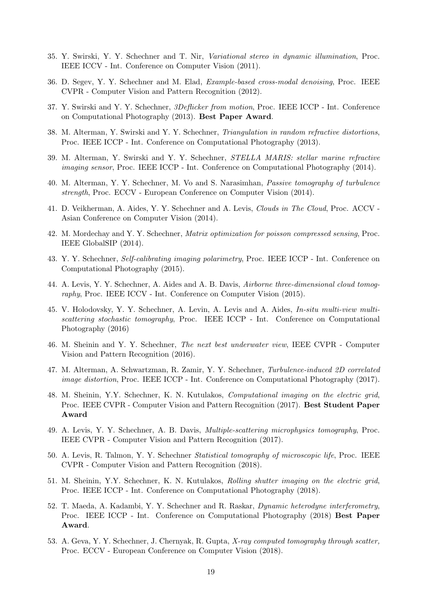- 35. Y. Swirski, Y. Y. Schechner and T. Nir, *Variational stereo in dynamic illumination*, Proc. IEEE ICCV - Int. Conference on Computer Vision (2011).
- 36. D. Segev, Y. Y. Schechner and M. Elad, *Example-based cross-modal denoising*, Proc. IEEE CVPR - Computer Vision and Pattern Recognition (2012).
- 37. Y. Swirski and Y. Y. Schechner, *3Deflicker from motion*, Proc. IEEE ICCP Int. Conference on Computational Photography (2013). **Best Paper Award**.
- 38. M. Alterman, Y. Swirski and Y. Y. Schechner, *Triangulation in random refractive distortions*, Proc. IEEE ICCP - Int. Conference on Computational Photography (2013).
- 39. M. Alterman, Y. Swirski and Y. Y. Schechner, *STELLA MARIS: stellar marine refractive imaging sensor*, Proc. IEEE ICCP - Int. Conference on Computational Photography (2014).
- 40. M. Alterman, Y. Y. Schechner, M. Vo and S. Narasimhan, *Passive tomography of turbulence strength*, Proc. ECCV - European Conference on Computer Vision (2014).
- 41. D. Veikherman, A. Aides, Y. Y. Schechner and A. Levis, *Clouds in The Cloud*, Proc. ACCV Asian Conference on Computer Vision (2014).
- 42. M. Mordechay and Y. Y. Schechner, *Matrix optimization for poisson compressed sensing*, Proc. IEEE GlobalSIP (2014).
- 43. Y. Y. Schechner, *Self-calibrating imaging polarimetry*, Proc. IEEE ICCP Int. Conference on Computational Photography (2015).
- 44. A. Levis, Y. Y. Schechner, A. Aides and A. B. Davis, *Airborne three-dimensional cloud tomography*, Proc. IEEE ICCV - Int. Conference on Computer Vision (2015).
- 45. V. Holodovsky, Y. Y. Schechner, A. Levin, A. Levis and A. Aides, *In-situ multi-view multiscattering stochastic tomography*, Proc. IEEE ICCP - Int. Conference on Computational Photography (2016)
- 46. M. Sheinin and Y. Y. Schechner, *The next best underwater view*, IEEE CVPR Computer Vision and Pattern Recognition (2016).
- 47. M. Alterman, A. Schwartzman, R. Zamir, Y. Y. Schechner, *Turbulence-induced 2D correlated image distortion*, Proc. IEEE ICCP - Int. Conference on Computational Photography (2017).
- 48. M. Sheinin, Y.Y. Schechner, K. N. Kutulakos, *Computational imaging on the electric grid*, Proc. IEEE CVPR - Computer Vision and Pattern Recognition (2017). **Best Student Paper Award**
- 49. A. Levis, Y. Y. Schechner, A. B. Davis, *Multiple-scattering microphysics tomography*, Proc. IEEE CVPR - Computer Vision and Pattern Recognition (2017).
- 50. A. Levis, R. Talmon, Y. Y. Schechner *Statistical tomography of microscopic life*, Proc. IEEE CVPR - Computer Vision and Pattern Recognition (2018).
- 51. M. Sheinin, Y.Y. Schechner, K. N. Kutulakos, *Rolling shutter imaging on the electric grid*, Proc. IEEE ICCP - Int. Conference on Computational Photography (2018).
- 52. T. Maeda, A. Kadambi, Y. Y. Schechner and R. Raskar, *Dynamic heterodyne interferometry*, Proc. IEEE ICCP - Int. Conference on Computational Photography (2018) **Best Paper Award**.
- 53. A. Geva, Y. Y. Schechner, J. Chernyak, R. Gupta, *X-ray computed tomography through scatter,* Proc. ECCV - European Conference on Computer Vision (2018).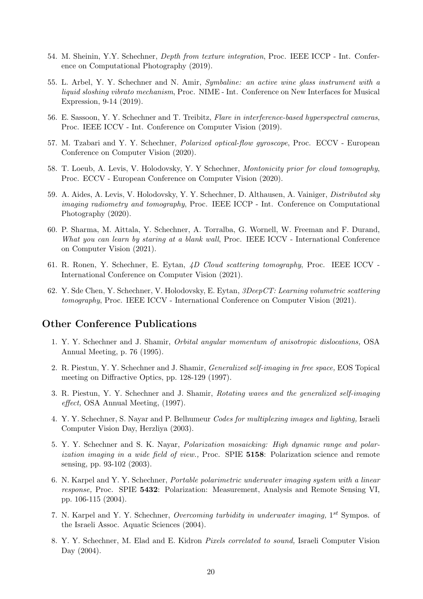- 54. M. Sheinin, Y.Y. Schechner, *Depth from texture integration*, Proc. IEEE ICCP Int. Conference on Computational Photography (2019).
- 55. L. Arbel, Y. Y. Schechner and N. Amir, *Symbaline: an active wine glass instrument with a liquid sloshing vibrato mechanism*, Proc. NIME - Int. Conference on New Interfaces for Musical Expression, 9-14 (2019).
- 56. E. Sassoon, Y. Y. Schechner and T. Treibitz, *Flare in interference-based hyperspectral cameras*, Proc. IEEE ICCV - Int. Conference on Computer Vision (2019).
- 57. M. Tzabari and Y. Y. Schechner, *Polarized optical-flow gyroscope*, Proc. ECCV European Conference on Computer Vision (2020).
- 58. T. Loeub, A. Levis, V. Holodovsky, Y. Y Schechner, *Montonicity prior for cloud tomography*, Proc. ECCV - European Conference on Computer Vision (2020).
- 59. A. Aides, A. Levis, V. Holodovsky, Y. Y. Schechner, D. Althausen, A. Vainiger, *Distributed sky imaging radiometry and tomography*, Proc. IEEE ICCP - Int. Conference on Computational Photography (2020).
- 60. P. Sharma, M. Aittala, Y. Schechner, A. Torralba, G. Wornell, W. Freeman and F. Durand, *What you can learn by staring at a blank wall*, Proc. IEEE ICCV - International Conference on Computer Vision (2021).
- 61. R. Ronen, Y. Schechner, E. Eytan, *4D Cloud scattering tomography*, Proc. IEEE ICCV International Conference on Computer Vision (2021).
- 62. Y. Sde Chen, Y. Schechner, V. Holodovsky, E. Eytan, *3DeepCT: Learning volumetric scattering tomography*, Proc. IEEE ICCV - International Conference on Computer Vision (2021).

#### **Other Conference Publications**

- 1. Y. Y. Schechner and J. Shamir, *Orbital angular momentum of anisotropic dislocations,* OSA Annual Meeting, p. 76 (1995).
- 2. R. Piestun, Y. Y. Schechner and J. Shamir, *Generalized self-imaging in free space,* EOS Topical meeting on Diffractive Optics, pp. 128-129 (1997).
- 3. R. Piestun, Y. Y. Schechner and J. Shamir, *Rotating waves and the generalized self-imaging effect,* OSA Annual Meeting, (1997).
- 4. Y. Y. Schechner, S. Nayar and P. Belhumeur *Codes for multiplexing images and lighting,* Israeli Computer Vision Day, Herzliya (2003).
- 5. Y. Y. Schechner and S. K. Nayar, *Polarization mosaicking: High dynamic range and polarization imaging in a wide field of view.,* Proc. SPIE **5158**: Polarization science and remote sensing, pp. 93-102 (2003).
- 6. N. Karpel and Y. Y. Schechner, *Portable polarimetric underwater imaging system with a linear response,* Proc. SPIE **5432**: Polarization: Measurement, Analysis and Remote Sensing VI, pp. 106-115 (2004).
- 7. N. Karpel and Y. Y. Schechner, *Overcoming turbidity in underwater imaging,* 1 *st* Sympos. of the Israeli Assoc. Aquatic Sciences (2004).
- 8. Y. Y. Schechner, M. Elad and E. Kidron *Pixels correlated to sound,* Israeli Computer Vision Day (2004).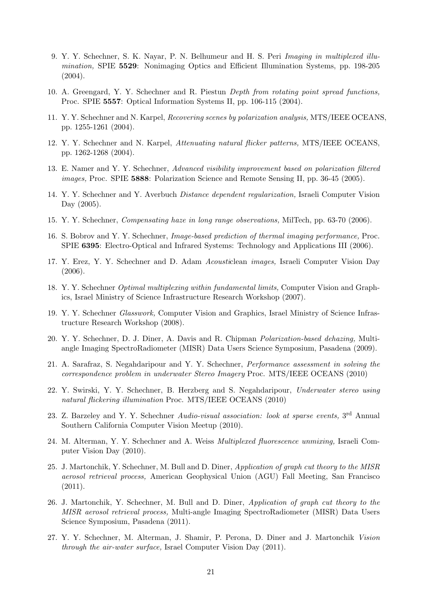- 9. Y. Y. Schechner, S. K. Nayar, P. N. Belhumeur and H. S. Peri *Imaging in multiplexed illumination,* SPIE **5529**: Nonimaging Optics and Efficient Illumination Systems, pp. 198-205  $(2004).$
- 10. A. Greengard, Y. Y. Schechner and R. Piestun *Depth from rotating point spread functions,* Proc. SPIE **5557**: Optical Information Systems II, pp. 106-115 (2004).
- 11. Y. Y. Schechner and N. Karpel, *Recovering scenes by polarization analysis,* MTS/IEEE OCEANS, pp. 1255-1261 (2004).
- 12. Y. Y. Schechner and N. Karpel, *Attenuating natural flicker patterns,* MTS/IEEE OCEANS, pp. 1262-1268 (2004).
- 13. E. Namer and Y. Y. Schechner, *Advanced visibility improvement based on polarization filtered images,* Proc. SPIE **5888**: Polarization Science and Remote Sensing II, pp. 36-45 (2005).
- 14. Y. Y. Schechner and Y. Averbuch *Distance dependent regularization,* Israeli Computer Vision Day (2005).
- 15. Y. Y. Schechner, *Compensating haze in long range observations,* MilTech, pp. 63-70 (2006).
- 16. S. Bobrov and Y. Y. Schechner, *Image-based prediction of thermal imaging performance,* Proc. SPIE **6395**: Electro-Optical and Infrared Systems: Technology and Applications III (2006).
- 17. Y. Erez, Y. Y. Schechner and D. Adam *Acousti*clean *images,* Israeli Computer Vision Day (2006).
- 18. Y. Y. Schechner *Optimal multiplexing within fundamental limits,* Computer Vision and Graphics, Israel Ministry of Science Infrastructure Research Workshop (2007).
- 19. Y. Y. Schechner *Glasswork,* Computer Vision and Graphics, Israel Ministry of Science Infrastructure Research Workshop (2008).
- 20. Y. Y. Schechner, D. J. Diner, A. Davis and R. Chipman *Polarization-based dehazing,* Multiangle Imaging SpectroRadiometer (MISR) Data Users Science Symposium, Pasadena (2009).
- 21. A. Sarafraz, S. Negahdaripour and Y. Y. Schechner, *Performance assessment in solving the correspondence problem in underwater Stereo Imagery* Proc. MTS/IEEE OCEANS (2010)
- 22. Y. Swirski, Y. Y. Schechner, B. Herzberg and S. Negahdaripour, *Underwater stereo using natural flickering illumination* Proc. MTS/IEEE OCEANS (2010)
- 23. Z. Barzeley and Y. Y. Schechner *Audio-visual association: look at sparse events*, 3<sup>rd</sup> Annual Southern California Computer Vision Meetup (2010).
- 24. M. Alterman, Y. Y. Schechner and A. Weiss *Multiplexed fluorescence unmixing,* Israeli Computer Vision Day (2010).
- 25. J. Martonchik, Y. Schechner, M. Bull and D. Diner, *Application of graph cut theory to the MISR aerosol retrieval process,* American Geophysical Union (AGU) Fall Meeting, San Francisco (2011).
- 26. J. Martonchik, Y. Schechner, M. Bull and D. Diner, *Application of graph cut theory to the MISR aerosol retrieval process,* Multi-angle Imaging SpectroRadiometer (MISR) Data Users Science Symposium, Pasadena (2011).
- 27. Y. Y. Schechner, M. Alterman, J. Shamir, P. Perona, D. Diner and J. Martonchik *Vision through the air-water surface,* Israel Computer Vision Day (2011).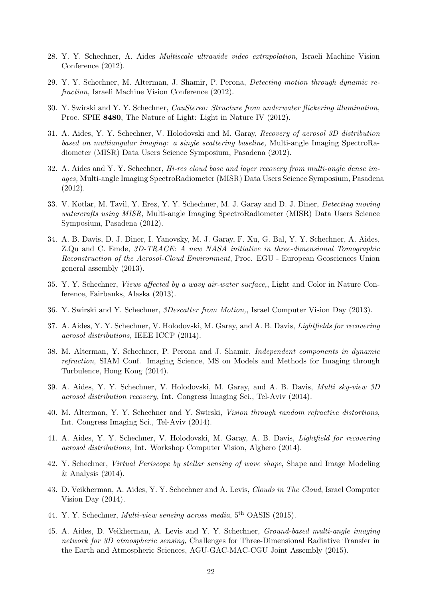- 28. Y. Y. Schechner, A. Aides *Multiscale ultrawide video extrapolation,* Israeli Machine Vision Conference (2012).
- 29. Y. Y. Schechner, M. Alterman, J. Shamir, P. Perona, *Detecting motion through dynamic refraction,* Israeli Machine Vision Conference (2012).
- 30. Y. Swirski and Y. Y. Schechner, *CauStereo: Structure from underwater flickering illumination,* Proc. SPIE **8480**, The Nature of Light: Light in Nature IV (2012).
- 31. A. Aides, Y. Y. Schechner, V. Holodovski and M. Garay, *Recovery of aerosol 3D distribution based on multiangular imaging: a single scattering baseline,* Multi-angle Imaging SpectroRadiometer (MISR) Data Users Science Symposium, Pasadena (2012).
- 32. A. Aides and Y. Y. Schechner, *Hi-res cloud base and layer recovery from multi-angle dense images,* Multi-angle Imaging SpectroRadiometer (MISR) Data Users Science Symposium, Pasadena (2012).
- 33. V. Kotlar, M. Tavil, Y. Erez, Y. Y. Schechner, M. J. Garay and D. J. Diner, *Detecting moving watercrafts using MISR,* Multi-angle Imaging SpectroRadiometer (MISR) Data Users Science Symposium, Pasadena (2012).
- 34. A. B. Davis, D. J. Diner, I. Yanovsky, M. J. Garay, F. Xu, G. Bal, Y. Y. Schechner, A. Aides, Z.Qu and C. Emde, *3D-TRACE: A new NASA initiative in three-dimensional Tomographic Reconstruction of the Aerosol-Cloud Environment*, Proc. EGU - European Geosciences Union general assembly (2013).
- 35. Y. Y. Schechner, *Views affected by a wavy air-water surface,*, Light and Color in Nature Conference, Fairbanks, Alaska (2013).
- 36. Y. Swirski and Y. Schechner, *3Descatter from Motion,*, Israel Computer Vision Day (2013).
- 37. A. Aides, Y. Y. Schechner, V. Holodovski, M. Garay, and A. B. Davis, *Lightfields for recovering aerosol distributions,* IEEE ICCP (2014).
- 38. M. Alterman, Y. Schechner, P. Perona and J. Shamir, *Independent components in dynamic refraction*, SIAM Conf. Imaging Science, MS on Models and Methods for Imaging through Turbulence, Hong Kong (2014).
- 39. A. Aides, Y. Y. Schechner, V. Holodovski, M. Garay, and A. B. Davis, *Multi sky-view 3D aerosol distribution recovery,* Int. Congress Imaging Sci., Tel-Aviv (2014).
- 40. M. Alterman, Y. Y. Schechner and Y. Swirski, *Vision through random refractive distortions*, Int. Congress Imaging Sci., Tel-Aviv (2014).
- 41. A. Aides, Y. Y. Schechner, V. Holodovski, M. Garay, A. B. Davis, *Lightfield for recovering aerosol distributions,* Int. Workshop Computer Vision, Alghero (2014).
- 42. Y. Schechner, *Virtual Periscope by stellar sensing of wave shape*, Shape and Image Modeling  $&$  Analysis (2014).
- 43. D. Veikherman, A. Aides, Y. Y. Schechner and A. Levis, *Clouds in The Cloud*, Israel Computer Vision Day (2014).
- 44. Y. Y. Schechner, *Multi-view sensing across media*, 5th OASIS (2015).
- 45. A. Aides, D. Veikherman, A. Levis and Y. Y. Schechner, *Ground-based multi-angle imaging network for 3D atmospheric sensing,* Challenges for Three-Dimensional Radiative Transfer in the Earth and Atmospheric Sciences, AGU-GAC-MAC-CGU Joint Assembly (2015).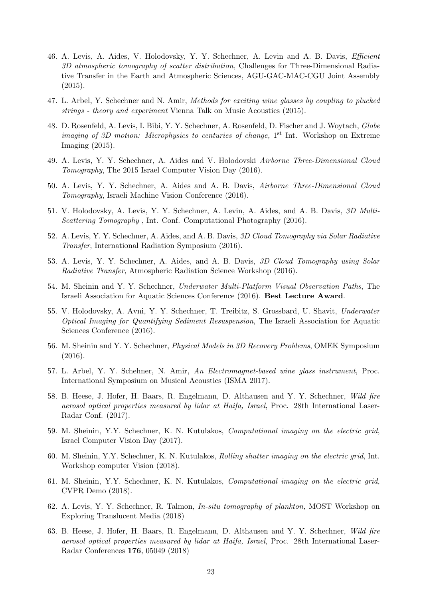- 46. A. Levis, A. Aides, V. Holodovsky, Y. Y. Schechner, A. Levin and A. B. Davis, *Efficient 3D atmospheric tomography of scatter distribution,* Challenges for Three-Dimensional Radiative Transfer in the Earth and Atmospheric Sciences, AGU-GAC-MAC-CGU Joint Assembly (2015).
- 47. L. Arbel, Y. Schechner and N. Amir, *Methods for exciting wine glasses by coupling to plucked strings - theory and experiment* Vienna Talk on Music Acoustics (2015).
- 48. D. Rosenfeld, A. Levis, I. Bibi, Y. Y. Schechner, A. Rosenfeld, D. Fischer and J. Woytach, *Globe imaging of 3D motion: Microphysics to centuries of change*, 1<sup>st</sup> Int. Workshop on Extreme Imaging (2015).
- 49. A. Levis, Y. Y. Schechner, A. Aides and V. Holodovski *Airborne Three-Dimensional Cloud Tomography*, The 2015 Israel Computer Vision Day (2016).
- 50. A. Levis, Y. Y. Schechner, A. Aides and A. B. Davis, *Airborne Three-Dimensional Cloud Tomography*, Israeli Machine Vision Conference (2016).
- 51. V. Holodovsky, A. Levis, Y. Y. Schechner, A. Levin, A. Aides, and A. B. Davis, *3D Multi-Scattering Tomography* , Int. Conf. Computational Photography (2016).
- 52. A. Levis, Y. Y. Schechner, A. Aides, and A. B. Davis, *3D Cloud Tomography via Solar Radiative Transfer*, International Radiation Symposium (2016).
- 53. A. Levis, Y. Y. Schechner, A. Aides, and A. B. Davis, *3D Cloud Tomography using Solar Radiative Transfer*, Atmospheric Radiation Science Workshop (2016).
- 54. M. Sheinin and Y. Y. Schechner, *Underwater Multi-Platform Visual Observation Paths*, The Israeli Association for Aquatic Sciences Conference (2016). **Best Lecture Award**.
- 55. V. Holodovsky, A. Avni, Y. Y. Schechner, T. Treibitz, S. Grossbard, U. Shavit, *Underwater Optical Imaging for Quantifying Sediment Resuspension*, The Israeli Association for Aquatic Sciences Conference (2016).
- 56. M. Sheinin and Y. Y. Schechner, *Physical Models in 3D Recovery Problems*, OMEK Symposium (2016).
- 57. L. Arbel, Y. Y. Schehner, N. Amir, *An Electromagnet-based wine glass instrument*, Proc. International Symposium on Musical Acoustics (ISMA 2017).
- 58. B. Heese, J. Hofer, H. Baars, R. Engelmann, D. Althausen and Y. Y. Schechner, *Wild fire aerosol optical properties measured by lidar at Haifa, Israel*, Proc. 28th International Laser-Radar Conf. (2017).
- 59. M. Sheinin, Y.Y. Schechner, K. N. Kutulakos, *Computational imaging on the electric grid*, Israel Computer Vision Day (2017).
- 60. M. Sheinin, Y.Y. Schechner, K. N. Kutulakos, *Rolling shutter imaging on the electric grid*, Int. Workshop computer Vision (2018).
- 61. M. Sheinin, Y.Y. Schechner, K. N. Kutulakos, *Computational imaging on the electric grid*, CVPR Demo (2018).
- 62. A. Levis, Y. Y. Schechner, R. Talmon, *In-situ tomography of plankton,* MOST Workshop on Exploring Translucent Media (2018)
- 63. B. Heese, J. Hofer, H. Baars, R. Engelmann, D. Althausen and Y. Y. Schechner, *Wild fire aerosol optical properties measured by lidar at Haifa, Israel,* Proc. 28th International Laser-Radar Conferences **176**, 05049 (2018)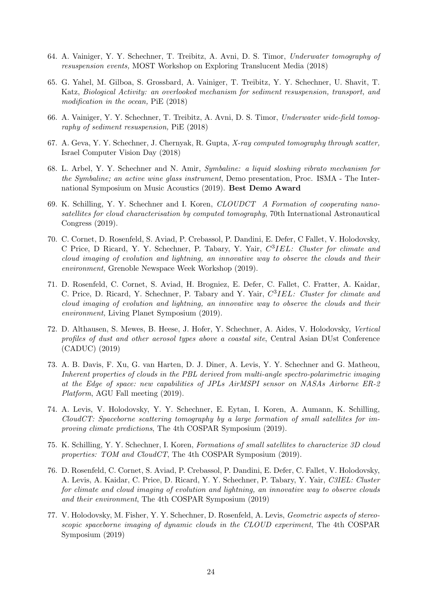- 64. A. Vainiger, Y. Y. Schechner, T. Treibitz, A. Avni, D. S. Timor, *Underwater tomography of resuspension events,* MOST Workshop on Exploring Translucent Media (2018)
- 65. G. Yahel, M. Gilboa, S. Grossbard, A. Vainiger, T. Treibitz, Y. Y. Schechner, U. Shavit, T. Katz, *Biological Activity: an overlooked mechanism for sediment resuspension, transport, and modification in the ocean,* PiE (2018)
- 66. A. Vainiger, Y. Y. Schechner, T. Treibitz, A. Avni, D. S. Timor, *Underwater wide-field tomography of sediment resuspension,* PiE (2018)
- 67. A. Geva, Y. Y. Schechner, J. Chernyak, R. Gupta, *X-ray computed tomography through scatter,* Israel Computer Vision Day (2018)
- 68. L. Arbel, Y. Y. Schechner and N. Amir, *Symbaline: a liquid sloshing vibrato mechanism for the Symbaline; an active wine glass instrument*, Demo presentation, Proc. ISMA - The International Symposium on Music Acoustics (2019). **Best Demo Award**
- 69. K. Schilling, Y. Y. Schechner and I. Koren, *CLOUDCT A Formation of cooperating nanosatellites for cloud characterisation by computed tomography*, 70th International Astronautical Congress (2019).
- 70. C. Cornet, D. Rosenfeld, S. Aviad, P. Crebassol, P. Dandini, E. Defer, C Fallet, V. Holodovsky, C Price, D Ricard, Y. Y. Schechner, P. Tabary, Y. Yair, *C* 3 *IEL: Cluster for climate and cloud imaging of evolution and lightning, an innovative way to observe the clouds and their environment,* Grenoble Newspace Week Workshop (2019).
- 71. D. Rosenfeld, C. Cornet, S. Aviad, H. Brogniez, E. Defer, C. Fallet, C. Fratter, A. Kaidar, C. Price, D. Ricard, Y. Schechner, P. Tabary and Y. Yair, *C* 3 *IEL: Cluster for climate and cloud imaging of evolution and lightning, an innovative way to observe the clouds and their environment,* Living Planet Symposium (2019).
- 72. D. Althausen, S. Mewes, B. Heese, J. Hofer, Y. Schechner, A. Aides, V. Holodovsky, *Vertical profiles of dust and other aerosol types above a coastal site*, Central Asian DUst Conference (CADUC) (2019)
- 73. A. B. Davis, F. Xu, G. van Harten, D. J. Diner, A. Levis, Y. Y. Schechner and G. Matheou, *Inherent properties of clouds in the PBL derived from multi-angle spectro-polarimetric imaging at the Edge of space: new capabilities of JPLs AirMSPI sensor on NASAs Airborne ER-2 Platform*, AGU Fall meeting (2019).
- 74. A. Levis, V. Holodovsky, Y. Y. Schechner, E. Eytan, I. Koren, A. Aumann, K. Schilling, *CloudCT: Spaceborne scattering tomography by a large formation of small satellites for improving climate predictions*, The 4th COSPAR Symposium (2019).
- 75. K. Schilling, Y. Y. Schechner, I. Koren, *Formations of small satellites to characterize 3D cloud properties: TOM and CloudCT*, The 4th COSPAR Symposium (2019).
- 76. D. Rosenfeld, C. Cornet, S. Aviad, P. Crebassol, P. Dandini, E. Defer, C. Fallet, V. Holodovsky, A. Levis, A. Kaidar, C. Price, D. Ricard, Y. Y. Schechner, P. Tabary, Y. Yair, *C3IEL: Cluster for climate and cloud imaging of evolution and lightning, an innovative way to observe clouds and their environment*, The 4th COSPAR Symposium (2019)
- 77. V. Holodovsky, M. Fisher, Y. Y. Schechner, D. Rosenfeld, A. Levis, *Geometric aspects of stereoscopic spaceborne imaging of dynamic clouds in the CLOUD experiment*, The 4th COSPAR Symposium (2019)